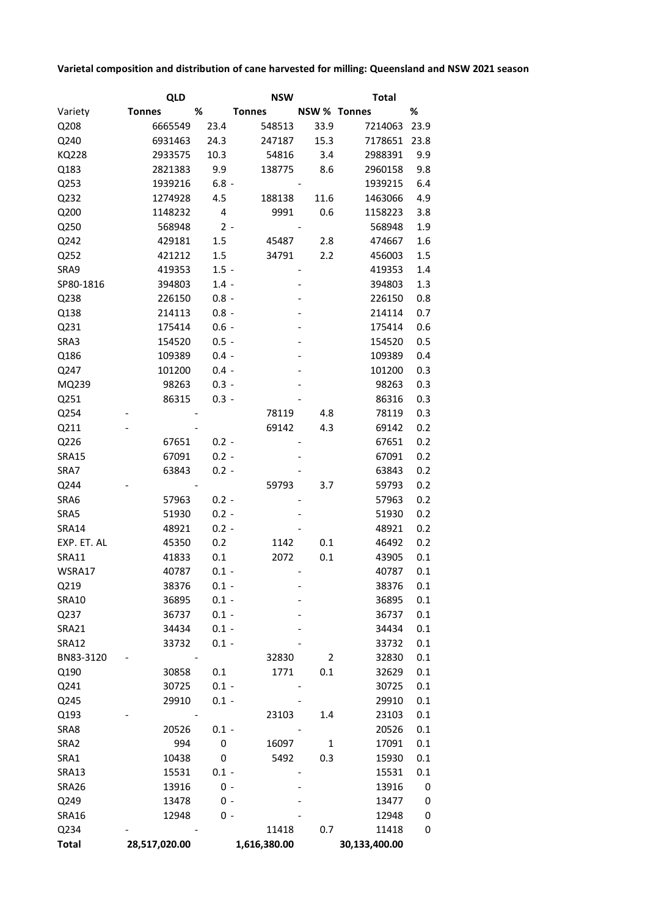## **Varietal composition and distribution of cane harvested for milling: Queensland and NSW 2021 season**

|                      | <b>QLD</b>    |         | <b>NSW</b>    |                | <b>Total</b>   |                |
|----------------------|---------------|---------|---------------|----------------|----------------|----------------|
| Variety              | <b>Tonnes</b> | %       | <b>Tonnes</b> | NSW % Tonnes   |                | %              |
| Q208                 | 6665549       | 23.4    | 548513        | 33.9           | 7214063        | 23.9           |
| Q240                 | 6931463       | 24.3    | 247187        | 15.3           | 7178651        | 23.8           |
| <b>KQ228</b>         | 2933575       | 10.3    | 54816         | 3.4            | 2988391        | 9.9            |
| Q183                 | 2821383       | 9.9     | 138775        | 8.6            | 2960158        | 9.8            |
| Q253                 | 1939216       | $6.8 -$ |               |                | 1939215        | 6.4            |
| Q232                 | 1274928       | 4.5     | 188138        | 11.6           | 1463066        | 4.9            |
| Q200                 | 1148232       | 4       | 9991          | 0.6            | 1158223        | 3.8            |
| Q250                 | 568948        | $2 -$   |               |                | 568948         | 1.9            |
| Q242                 | 429181        | 1.5     | 45487         | 2.8            | 474667         | 1.6            |
| Q252                 | 421212        | 1.5     | 34791         | 2.2            | 456003         | 1.5            |
| SRA9                 | 419353        | $1.5 -$ |               |                | 419353         | 1.4            |
| SP80-1816            | 394803        | $1.4 -$ |               |                | 394803         | 1.3            |
| Q238                 | 226150        | $0.8 -$ |               |                | 226150         | 0.8            |
| Q138                 | 214113        | $0.8 -$ |               |                | 214114         | 0.7            |
| Q231                 | 175414        | $0.6 -$ |               |                | 175414         | 0.6            |
| SRA3                 | 154520        | $0.5 -$ |               |                | 154520         | 0.5            |
| Q186                 | 109389        | $0.4 -$ |               |                | 109389         | 0.4            |
| Q247                 | 101200        | $0.4 -$ |               |                | 101200         | 0.3            |
| MQ239                | 98263         | $0.3 -$ |               |                | 98263          | 0.3            |
| Q251                 | 86315         | $0.3 -$ |               |                | 86316          | 0.3            |
| Q254                 |               |         | 78119         | 4.8            | 78119          | 0.3            |
| Q211                 |               |         | 69142         | 4.3            | 69142          | 0.2            |
| Q226                 | 67651         | $0.2 -$ |               |                | 67651          | 0.2            |
| <b>SRA15</b>         | 67091         | $0.2 -$ |               |                | 67091          | 0.2            |
| SRA7                 | 63843         | $0.2 -$ |               |                | 63843          | 0.2            |
| Q244                 |               |         | 59793         | 3.7            | 59793          | 0.2            |
| SRA6                 | 57963         | $0.2 -$ |               |                | 57963          | 0.2            |
| SRA5                 | 51930         | $0.2 -$ |               |                | 51930          | 0.2            |
| <b>SRA14</b>         | 48921         | $0.2 -$ |               |                | 48921          | 0.2            |
| EXP. ET. AL          | 45350         | 0.2     | 1142          | 0.1            | 46492          | 0.2            |
| <b>SRA11</b>         | 41833         | 0.1     | 2072          | 0.1            | 43905          | 0.1            |
| WSRA17               | 40787         | $0.1 -$ |               |                | 40787          | 0.1            |
| Q219                 | 38376         | $0.1 -$ |               |                | 38376          | 0.1            |
| <b>SRA10</b>         | 36895         | $0.1 -$ |               |                | 36895          | 0.1            |
| Q237                 | 36737         | $0.1 -$ |               |                | 36737          | 0.1            |
| <b>SRA21</b>         | 34434         | $0.1 -$ |               |                | 34434          | 0.1            |
| <b>SRA12</b>         | 33732         | $0.1 -$ |               |                | 33732          | 0.1            |
| BN83-3120            |               |         | 32830         | $\overline{2}$ | 32830          | 0.1            |
| Q190                 | 30858         | 0.1     | 1771          | 0.1            | 32629          | 0.1            |
| Q241                 | 30725         | $0.1 -$ |               |                | 30725          | 0.1            |
| Q245                 | 29910         | $0.1 -$ |               |                | 29910          | 0.1            |
| Q193                 |               |         | 23103         | 1.4            | 23103          | 0.1            |
| SRA8                 | 20526         | $0.1 -$ |               |                | 20526          | 0.1            |
| SRA2                 | 994           | 0       | 16097         | $\mathbf{1}$   | 17091          | 0.1            |
| SRA1                 | 10438         | 0       | 5492          | 0.3            | 15930          | 0.1            |
| <b>SRA13</b>         | 15531         | $0.1 -$ |               |                | 15531          | 0.1            |
| SRA26                | 13916         | $0 -$   |               |                | 13916          | 0              |
| Q249                 | 13478         | $0 -$   |               |                | 13477          | 0              |
|                      | 12948         | $0 -$   |               |                |                |                |
| <b>SRA16</b><br>Q234 |               |         | 11418         | 0.7            | 12948<br>11418 | $\pmb{0}$<br>0 |
| <b>Total</b>         | 28,517,020.00 |         | 1,616,380.00  |                | 30,133,400.00  |                |
|                      |               |         |               |                |                |                |